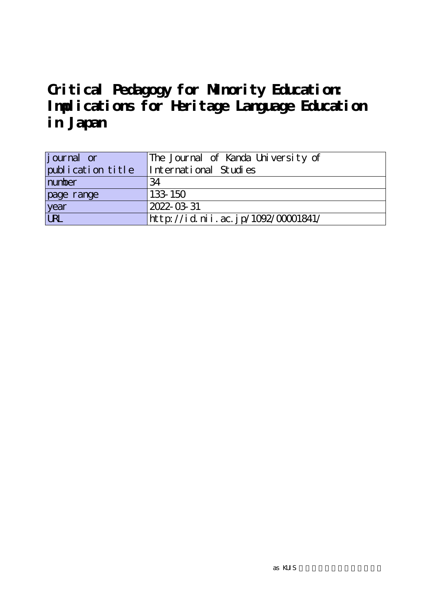| journal or        | The Journal of Kanda University of |
|-------------------|------------------------------------|
| publication title | International Studies              |
| number            | 34                                 |
| page range        | 133-150                            |
| year<br>URL       | 2022-03-31                         |
|                   | http://id.nii.ac.jp/1092/00001841/ |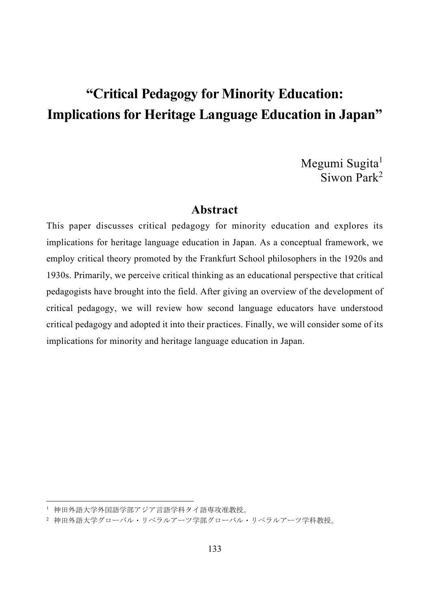Megumi Sugita<sup>1</sup> Siwon Park<sup>2</sup>

## **Abstract**

This paper discusses critical pedagogy for minority education and explores its implications for heritage language education in Japan. As a conceptual framework, we employ critical theory promoted by the Frankfurt School philosophers in the 1920s and 1930s. Primarily, we perceive critical thinking as an educational perspective that critical pedagogists have brought into the field. After giving an overview of the development of critical pedagogy, we will review how second language educators have understood critical pedagogy and adopted it into their practices. Finally, we will consider some of its implications for minority and heritage language education in Japan.

<sup>1</sup> 神田外語大学外国語学部アジア言語学科タイ語専攻准教授。

<sup>2</sup> 神田外語大学グローバル・リベラルアーツ学部グローバル・リベラルアーツ学科教授。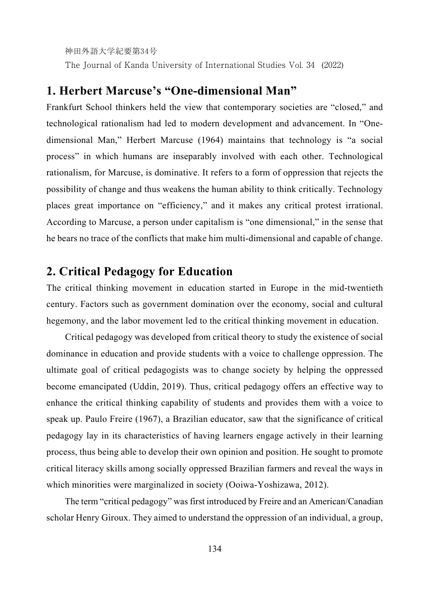The Journal of Kanda University of International Studies Vol. 34 (2022)

# **1. Herbert Marcuse's "One-dimensional Man"**

Frankfurt School thinkers held the view that contemporary societies are "closed," and technological rationalism had led to modern development and advancement. In "Onedimensional Man," Herbert Marcuse (1964) maintains that technology is "a social process" in which humans are inseparably involved with each other. Technological rationalism, for Marcuse, is dominative. It refers to a form of oppression that rejects the possibility of change and thus weakens the human ability to think critically. Technology places great importance on "efficiency," and it makes any critical protest irrational. According to Marcuse, a person under capitalism is "one dimensional," in the sense that he bears no trace of the conflicts that make him multi-dimensional and capable of change.

# **2. Critical Pedagogy for Education**

The critical thinking movement in education started in Europe in the mid-twentieth century. Factors such as government domination over the economy, social and cultural hegemony, and the labor movement led to the critical thinking movement in education.

Critical pedagogy was developed from critical theory to study the existence of social dominance in education and provide students with a voice to challenge oppression. The ultimate goal of critical pedagogists was to change society by helping the oppressed become emancipated (Uddin, 2019). Thus, critical pedagogy offers an effective way to enhance the critical thinking capability of students and provides them with a voice to speak up. Paulo Freire (1967), a Brazilian educator, saw that the significance of critical pedagogy lay in its characteristics of having learners engage actively in their learning process, thus being able to develop their own opinion and position. He sought to promote critical literacy skills among socially oppressed Brazilian farmers and reveal the ways in which minorities were marginalized in society (Ooiwa-Yoshizawa, 2012).

The term "critical pedagogy" was first introduced by Freire and an American/Canadian scholar Henry Giroux. They aimed to understand the oppression of an individual, a group,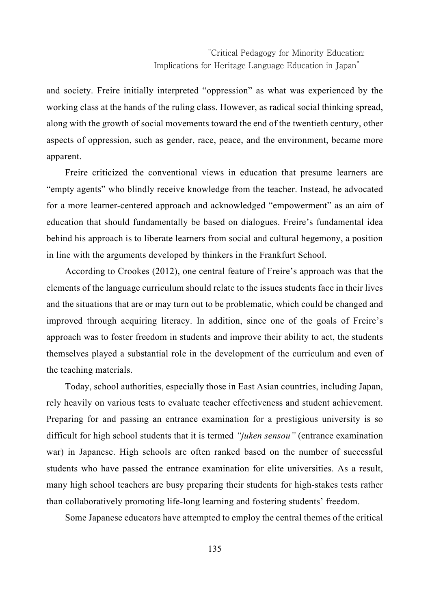and society. Freire initially interpreted "oppression" as what was experienced by the working class at the hands of the ruling class. However, as radical social thinking spread, along with the growth of social movements toward the end of the twentieth century, other aspects of oppression, such as gender, race, peace, and the environment, became more apparent.

Freire criticized the conventional views in education that presume learners are "empty agents" who blindly receive knowledge from the teacher. Instead, he advocated for a more learner-centered approach and acknowledged "empowerment" as an aim of education that should fundamentally be based on dialogues. Freire's fundamental idea behind his approach is to liberate learners from social and cultural hegemony, a position in line with the arguments developed by thinkers in the Frankfurt School.

According to Crookes (2012), one central feature of Freire's approach was that the elements of the language curriculum should relate to the issues students face in their lives and the situations that are or may turn out to be problematic, which could be changed and improved through acquiring literacy. In addition, since one of the goals of Freire's approach was to foster freedom in students and improve their ability to act, the students themselves played a substantial role in the development of the curriculum and even of the teaching materials.

Today, school authorities, especially those in East Asian countries, including Japan, rely heavily on various tests to evaluate teacher effectiveness and student achievement. Preparing for and passing an entrance examination for a prestigious university is so difficult for high school students that it is termed *"juken sensou"* (entrance examination war) in Japanese. High schools are often ranked based on the number of successful students who have passed the entrance examination for elite universities. As a result, many high school teachers are busy preparing their students for high-stakes tests rather than collaboratively promoting life-long learning and fostering students' freedom.

Some Japanese educators have attempted to employ the central themes of the critical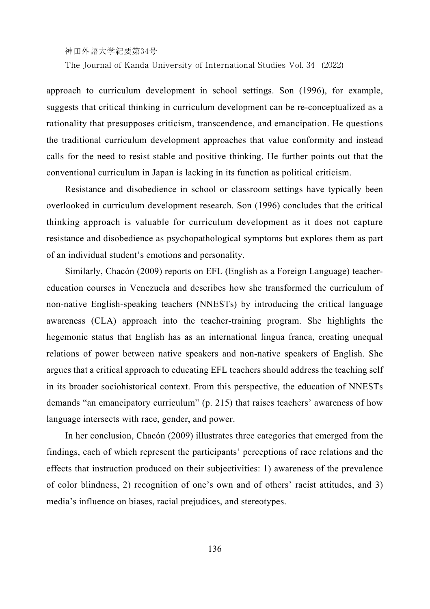The Journal of Kanda University of International Studies Vol. 34 (2022)

approach to curriculum development in school settings. Son (1996), for example, suggests that critical thinking in curriculum development can be re-conceptualized as a rationality that presupposes criticism, transcendence, and emancipation. He questions the traditional curriculum development approaches that value conformity and instead calls for the need to resist stable and positive thinking. He further points out that the conventional curriculum in Japan is lacking in its function as political criticism.

Resistance and disobedience in school or classroom settings have typically been overlooked in curriculum development research. Son (1996) concludes that the critical thinking approach is valuable for curriculum development as it does not capture resistance and disobedience as psychopathological symptoms but explores them as part of an individual student's emotions and personality.

Similarly, Chacón (2009) reports on EFL (English as a Foreign Language) teachereducation courses in Venezuela and describes how she transformed the curriculum of non-native English-speaking teachers (NNESTs) by introducing the critical language awareness (CLA) approach into the teacher-training program. She highlights the hegemonic status that English has as an international lingua franca, creating unequal relations of power between native speakers and non-native speakers of English. She argues that a critical approach to educating EFL teachers should address the teaching self in its broader sociohistorical context. From this perspective, the education of NNESTs demands "an emancipatory curriculum" (p. 215) that raises teachers' awareness of how language intersects with race, gender, and power.

In her conclusion, Chacón (2009) illustrates three categories that emerged from the findings, each of which represent the participants' perceptions of race relations and the effects that instruction produced on their subjectivities: 1) awareness of the prevalence of color blindness, 2) recognition of one's own and of others' racist attitudes, and 3) media's influence on biases, racial prejudices, and stereotypes.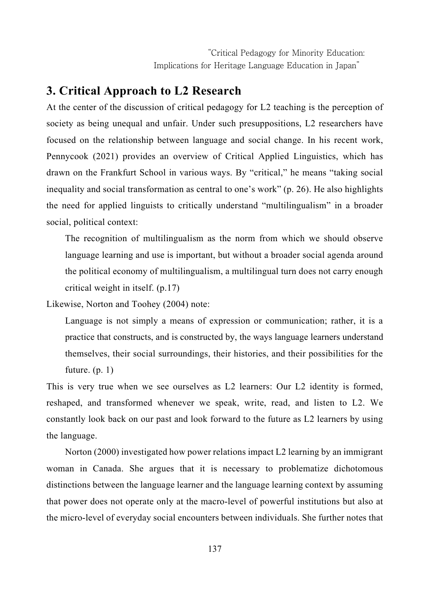# **3. Critical Approach to L2 Research**

At the center of the discussion of critical pedagogy for L2 teaching is the perception of society as being unequal and unfair. Under such presuppositions, L2 researchers have focused on the relationship between language and social change. In his recent work, Pennycook (2021) provides an overview of Critical Applied Linguistics, which has drawn on the Frankfurt School in various ways. By "critical," he means "taking social inequality and social transformation as central to one's work" (p. 26). He also highlights the need for applied linguists to critically understand "multilingualism" in a broader social, political context:

The recognition of multilingualism as the norm from which we should observe language learning and use is important, but without a broader social agenda around the political economy of multilingualism, a multilingual turn does not carry enough critical weight in itself. (p.17)

Likewise, Norton and Toohey (2004) note:

Language is not simply a means of expression or communication; rather, it is a practice that constructs, and is constructed by, the ways language learners understand themselves, their social surroundings, their histories, and their possibilities for the future.  $(p, 1)$ 

This is very true when we see ourselves as L2 learners: Our L2 identity is formed, reshaped, and transformed whenever we speak, write, read, and listen to L2. We constantly look back on our past and look forward to the future as L2 learners by using the language.

Norton (2000) investigated how power relations impact L2 learning by an immigrant woman in Canada. She argues that it is necessary to problematize dichotomous distinctions between the language learner and the language learning context by assuming that power does not operate only at the macro-level of powerful institutions but also at the micro-level of everyday social encounters between individuals. She further notes that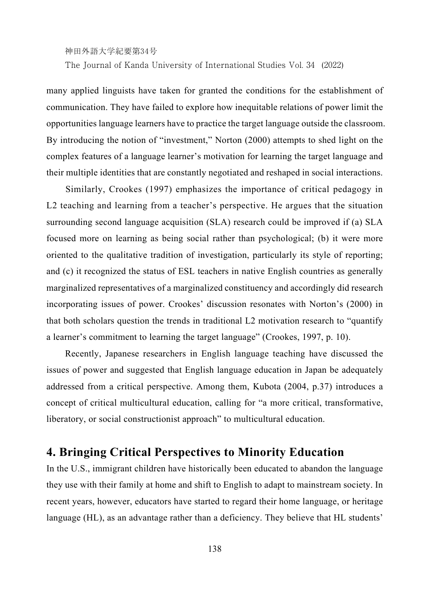The Journal of Kanda University of International Studies Vol. 34 (2022)

many applied linguists have taken for granted the conditions for the establishment of communication. They have failed to explore how inequitable relations of power limit the opportunities language learners have to practice the target language outside the classroom. By introducing the notion of "investment," Norton (2000) attempts to shed light on the complex features of a language learner's motivation for learning the target language and their multiple identities that are constantly negotiated and reshaped in social interactions.

Similarly, Crookes (1997) emphasizes the importance of critical pedagogy in L2 teaching and learning from a teacher's perspective. He argues that the situation surrounding second language acquisition (SLA) research could be improved if (a) SLA focused more on learning as being social rather than psychological; (b) it were more oriented to the qualitative tradition of investigation, particularly its style of reporting; and (c) it recognized the status of ESL teachers in native English countries as generally marginalized representatives of a marginalized constituency and accordingly did research incorporating issues of power. Crookes' discussion resonates with Norton's (2000) in that both scholars question the trends in traditional L2 motivation research to "quantify a learner's commitment to learning the target language" (Crookes, 1997, p. 10).

Recently, Japanese researchers in English language teaching have discussed the issues of power and suggested that English language education in Japan be adequately addressed from a critical perspective. Among them, Kubota (2004, p.37) introduces a concept of critical multicultural education, calling for "a more critical, transformative, liberatory, or social constructionist approach" to multicultural education.

# **4. Bringing Critical Perspectives to Minority Education**

In the U.S., immigrant children have historically been educated to abandon the language they use with their family at home and shift to English to adapt to mainstream society. In recent years, however, educators have started to regard their home language, or heritage language (HL), as an advantage rather than a deficiency. They believe that HL students'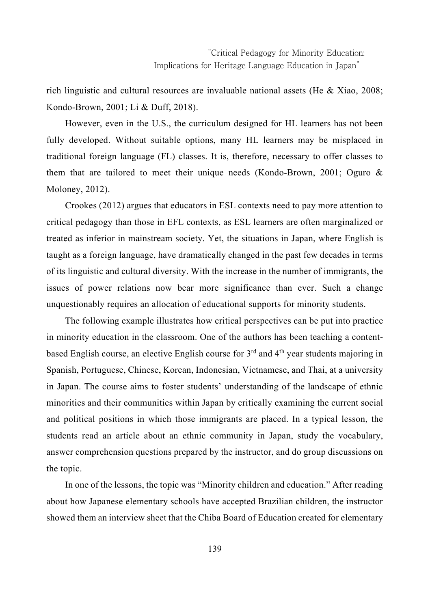rich linguistic and cultural resources are invaluable national assets (He  $\&$  Xiao, 2008; Kondo-Brown, 2001; Li & Duff, 2018).

However, even in the U.S., the curriculum designed for HL learners has not been fully developed. Without suitable options, many HL learners may be misplaced in traditional foreign language (FL) classes. It is, therefore, necessary to offer classes to them that are tailored to meet their unique needs (Kondo-Brown, 2001; Oguro & Moloney, 2012).

Crookes (2012) argues that educators in ESL contexts need to pay more attention to critical pedagogy than those in EFL contexts, as ESL learners are often marginalized or treated as inferior in mainstream society. Yet, the situations in Japan, where English is taught as a foreign language, have dramatically changed in the past few decades in terms of its linguistic and cultural diversity. With the increase in the number of immigrants, the issues of power relations now bear more significance than ever. Such a change unquestionably requires an allocation of educational supports for minority students.

The following example illustrates how critical perspectives can be put into practice in minority education in the classroom. One of the authors has been teaching a contentbased English course, an elective English course for  $3<sup>rd</sup>$  and  $4<sup>th</sup>$  year students majoring in Spanish, Portuguese, Chinese, Korean, Indonesian, Vietnamese, and Thai, at a university in Japan. The course aims to foster students' understanding of the landscape of ethnic minorities and their communities within Japan by critically examining the current social and political positions in which those immigrants are placed. In a typical lesson, the students read an article about an ethnic community in Japan, study the vocabulary, answer comprehension questions prepared by the instructor, and do group discussions on the topic.

In one of the lessons, the topic was "Minority children and education." After reading about how Japanese elementary schools have accepted Brazilian children, the instructor showed them an interview sheet that the Chiba Board of Education created for elementary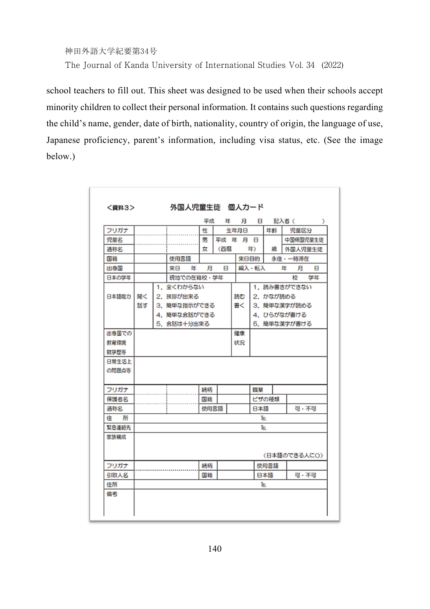神田外語大学紀要第34号 The Journal of Kanda University of International Studies Vol. 34 (2022)

school teachers to fill out. This sheet was designed to be used when their schools accept minority children to collect their personal information. It contains such questions regarding the child's name, gender, date of birth, nationality, country of origin, the language of use, Japanese proficiency, parent's information, including visa status, etc. (See the image below.)

|            |            |             |  |    | 平成     |              | 年         |          | 月日    |              |              | 記入者(          | $\lambda$    |  |
|------------|------------|-------------|--|----|--------|--------------|-----------|----------|-------|--------------|--------------|---------------|--------------|--|
| フリガナ       |            |             |  |    | 性      |              |           | 生年月日     |       | 年齢           |              | 児童区分          |              |  |
| 児童名        |            |             |  |    | 男      |              |           | 平成 年 月 日 |       |              |              | 中国帰国児童生徒      |              |  |
| 通称名        |            |             |  |    | 女      | (西暦          |           |          | 年)    |              | 外国人児童生徒      |               |              |  |
| 国籍         | 使用言語       |             |  |    |        |              |           |          | 来日目的  |              |              | 永住 - 一時滞在     |              |  |
| 出身国        | 来日         |             |  | 年  | 日<br>A |              |           |          | 編入・転入 |              | 年            | 月             | $\mathbf{a}$ |  |
| 日本の学年      | 現地での在籍校・学年 |             |  |    |        |              |           |          |       |              |              | $\frac{1}{2}$ | 学年           |  |
| 日本語能力      |            | 1. 全くわからない  |  |    |        | 1. 読み書きができない |           |          |       |              |              |               |              |  |
|            | 聞く         | 2. 挨拶が出来る   |  |    | 読む     |              | 2. かなが読める |          |       |              |              |               |              |  |
|            | 話す         | 3.簡単な指示ができる |  |    |        |              |           |          |       | 3. 簡単な漢字が読める |              |               |              |  |
|            |            | 4.簡単な会話ができる |  |    |        |              |           |          |       | 4. ひらがなが書ける  |              |               |              |  |
|            |            | 5. 会話は十分出来る |  |    |        |              |           |          |       |              | 5. 簡単な漢字が書ける |               |              |  |
| 出身国での      |            |             |  |    |        |              |           | 健康       |       |              |              |               |              |  |
| 教育環境       |            |             |  |    |        |              |           | 状況       |       |              |              |               |              |  |
| 就学歴等       |            |             |  |    |        |              |           |          |       |              |              |               |              |  |
| 日常生活上      |            |             |  |    |        |              |           |          |       |              |              |               |              |  |
| の問題点等      |            |             |  |    |        |              |           |          |       |              |              |               |              |  |
|            |            |             |  |    |        |              |           |          |       |              |              |               |              |  |
| フリガナ       |            |             |  | 結柄 |        |              |           | 贈举       |       |              |              |               |              |  |
| 保護者名       |            |             |  | 国籍 |        |              |           |          | ビザの挿類 |              |              |               |              |  |
| 通称名        |            |             |  |    |        | 使用言語         |           |          |       | 日本語          |              |               | 可 · 不可       |  |
| 住 所        | Tя         |             |  |    |        |              |           |          |       |              |              |               |              |  |
| 緊急連絡先      | Ιū         |             |  |    |        |              |           |          |       |              |              |               |              |  |
| 家族構成       |            |             |  |    |        |              |           |          |       |              |              |               |              |  |
|            |            |             |  |    |        |              |           |          |       |              |              |               |              |  |
|            |            |             |  |    |        |              |           |          |       |              |              |               | (日本語のできる人に〇) |  |
| フリガナ       |            |             |  | 続柄 |        |              |           | 使用言語     |       |              |              |               |              |  |
|            |            |             |  |    | 国籍     |              |           |          | 日本語   |              |              | 可 · 不可        |              |  |
|            |            |             |  |    |        |              |           |          | Īя    |              |              |               |              |  |
| 引取人名<br>住所 |            |             |  |    |        |              |           |          |       |              |              |               |              |  |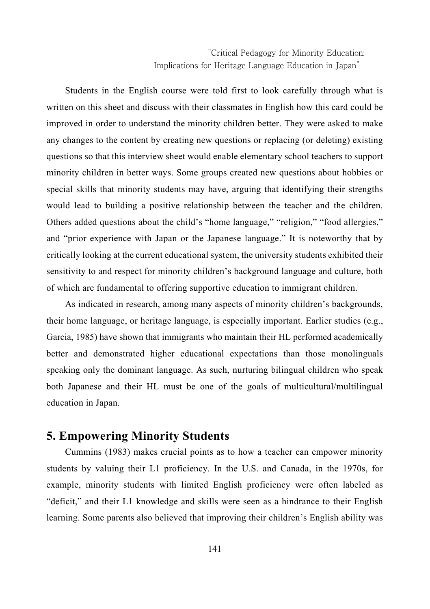Students in the English course were told first to look carefully through what is written on this sheet and discuss with their classmates in English how this card could be improved in order to understand the minority children better. They were asked to make any changes to the content by creating new questions or replacing (or deleting) existing questions so that this interview sheet would enable elementary school teachers to support minority children in better ways. Some groups created new questions about hobbies or special skills that minority students may have, arguing that identifying their strengths would lead to building a positive relationship between the teacher and the children. Others added questions about the child's "home language," "religion," "food allergies," and "prior experience with Japan or the Japanese language." It is noteworthy that by critically looking at the current educational system, the university students exhibited their sensitivity to and respect for minority children's background language and culture, both of which are fundamental to offering supportive education to immigrant children.

As indicated in research, among many aspects of minority children's backgrounds, their home language, or heritage language, is especially important. Earlier studies (e.g., Garcia, 1985) have shown that immigrants who maintain their HL performed academically better and demonstrated higher educational expectations than those monolinguals speaking only the dominant language. As such, nurturing bilingual children who speak both Japanese and their HL must be one of the goals of multicultural/multilingual education in Japan.

## **5. Empowering Minority Students**

Cummins (1983) makes crucial points as to how a teacher can empower minority students by valuing their L1 proficiency. In the U.S. and Canada, in the 1970s, for example, minority students with limited English proficiency were often labeled as "deficit," and their L1 knowledge and skills were seen as a hindrance to their English learning. Some parents also believed that improving their children's English ability was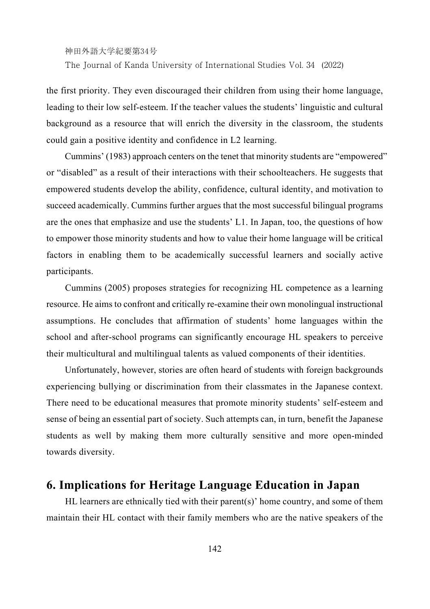神田外語大学紀要第34号 The Journal of Kanda University of International Studies Vol. 34 (2022)

the first priority. They even discouraged their children from using their home language, leading to their low self-esteem. If the teacher values the students' linguistic and cultural background as a resource that will enrich the diversity in the classroom, the students could gain a positive identity and confidence in L2 learning.

Cummins' (1983) approach centers on the tenet that minority students are "empowered" or "disabled" as a result of their interactions with their schoolteachers. He suggests that empowered students develop the ability, confidence, cultural identity, and motivation to succeed academically. Cummins further argues that the most successful bilingual programs are the ones that emphasize and use the students' L1. In Japan, too, the questions of how to empower those minority students and how to value their home language will be critical factors in enabling them to be academically successful learners and socially active participants.

Cummins (2005) proposes strategies for recognizing HL competence as a learning resource. He aims to confront and critically re-examine their own monolingual instructional assumptions. He concludes that affirmation of students' home languages within the school and after-school programs can significantly encourage HL speakers to perceive their multicultural and multilingual talents as valued components of their identities.

Unfortunately, however, stories are often heard of students with foreign backgrounds experiencing bullying or discrimination from their classmates in the Japanese context. There need to be educational measures that promote minority students' self-esteem and sense of being an essential part of society. Such attempts can, in turn, benefit the Japanese students as well by making them more culturally sensitive and more open-minded towards diversity.

# **6. Implications for Heritage Language Education in Japan**

HL learners are ethnically tied with their parent(s)' home country, and some of them maintain their HL contact with their family members who are the native speakers of the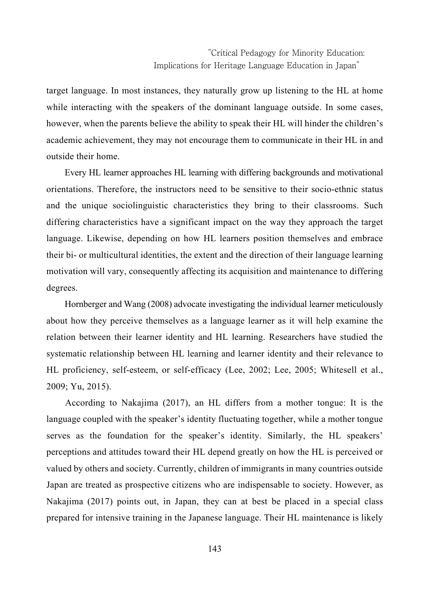target language. In most instances, they naturally grow up listening to the HL at home while interacting with the speakers of the dominant language outside. In some cases, however, when the parents believe the ability to speak their HL will hinder the children's academic achievement, they may not encourage them to communicate in their HL in and outside their home.

Every HL learner approaches HL learning with differing backgrounds and motivational orientations. Therefore, the instructors need to be sensitive to their socio-ethnic status and the unique sociolinguistic characteristics they bring to their classrooms. Such differing characteristics have a significant impact on the way they approach the target language. Likewise, depending on how HL learners position themselves and embrace their bi- or multicultural identities, the extent and the direction of their language learning motivation will vary, consequently affecting its acquisition and maintenance to differing degrees.

Hornberger and Wang (2008) advocate investigating the individual learner meticulously about how they perceive themselves as a language learner as it will help examine the relation between their learner identity and HL learning. Researchers have studied the systematic relationship between HL learning and learner identity and their relevance to HL proficiency, self-esteem, or self-efficacy (Lee, 2002; Lee, 2005; Whitesell et al., 2009; Yu, 2015).

According to Nakajima (2017), an HL differs from a mother tongue: It is the language coupled with the speaker's identity fluctuating together, while a mother tongue serves as the foundation for the speaker's identity. Similarly, the HL speakers' perceptions and attitudes toward their HL depend greatly on how the HL is perceived or valued by others and society. Currently, children of immigrants in many countries outside Japan are treated as prospective citizens who are indispensable to society. However, as Nakajima (2017) points out, in Japan, they can at best be placed in a special class prepared for intensive training in the Japanese language. Their HL maintenance is likely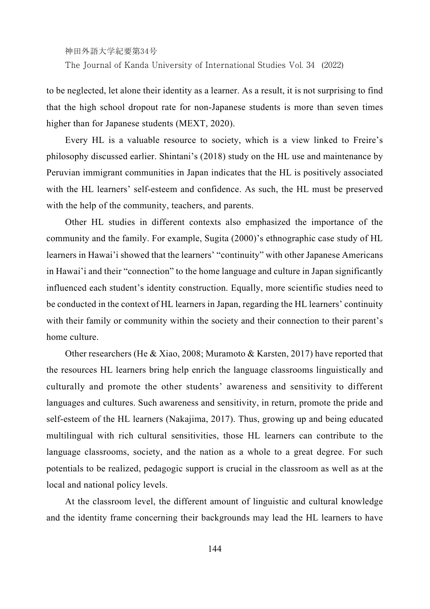The Journal of Kanda University of International Studies Vol. 34 (2022)

to be neglected, let alone their identity as a learner. As a result, it is not surprising to find that the high school dropout rate for non-Japanese students is more than seven times higher than for Japanese students (MEXT, 2020).

Every HL is a valuable resource to society, which is a view linked to Freire's philosophy discussed earlier. Shintani's (2018) study on the HL use and maintenance by Peruvian immigrant communities in Japan indicates that the HL is positively associated with the HL learners' self-esteem and confidence. As such, the HL must be preserved with the help of the community, teachers, and parents.

Other HL studies in different contexts also emphasized the importance of the community and the family. For example, Sugita (2000)'s ethnographic case study of HL learners in Hawai'i showed that the learners' "continuity" with other Japanese Americans in Hawai'i and their "connection" to the home language and culture in Japan significantly influenced each student's identity construction. Equally, more scientific studies need to be conducted in the context of HL learners in Japan, regarding the HL learners' continuity with their family or community within the society and their connection to their parent's home culture.

Other researchers (He & Xiao, 2008; Muramoto & Karsten, 2017) have reported that the resources HL learners bring help enrich the language classrooms linguistically and culturally and promote the other students' awareness and sensitivity to different languages and cultures. Such awareness and sensitivity, in return, promote the pride and self-esteem of the HL learners (Nakajima, 2017). Thus, growing up and being educated multilingual with rich cultural sensitivities, those HL learners can contribute to the language classrooms, society, and the nation as a whole to a great degree. For such potentials to be realized, pedagogic support is crucial in the classroom as well as at the local and national policy levels.

At the classroom level, the different amount of linguistic and cultural knowledge and the identity frame concerning their backgrounds may lead the HL learners to have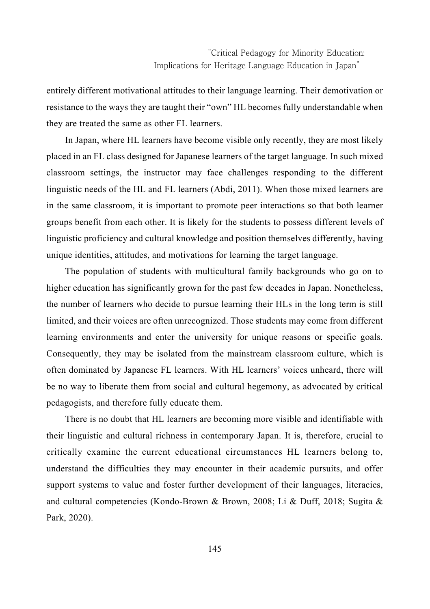entirely different motivational attitudes to their language learning. Their demotivation or resistance to the ways they are taught their "own" HL becomes fully understandable when they are treated the same as other FL learners.

In Japan, where HL learners have become visible only recently, they are most likely placed in an FL class designed for Japanese learners of the target language. In such mixed classroom settings, the instructor may face challenges responding to the different linguistic needs of the HL and FL learners (Abdi, 2011). When those mixed learners are in the same classroom, it is important to promote peer interactions so that both learner groups benefit from each other. It is likely for the students to possess different levels of linguistic proficiency and cultural knowledge and position themselves differently, having unique identities, attitudes, and motivations for learning the target language.

The population of students with multicultural family backgrounds who go on to higher education has significantly grown for the past few decades in Japan. Nonetheless, the number of learners who decide to pursue learning their HLs in the long term is still limited, and their voices are often unrecognized. Those students may come from different learning environments and enter the university for unique reasons or specific goals. Consequently, they may be isolated from the mainstream classroom culture, which is often dominated by Japanese FL learners. With HL learners' voices unheard, there will be no way to liberate them from social and cultural hegemony, as advocated by critical pedagogists, and therefore fully educate them.

There is no doubt that HL learners are becoming more visible and identifiable with their linguistic and cultural richness in contemporary Japan. It is, therefore, crucial to critically examine the current educational circumstances HL learners belong to, understand the difficulties they may encounter in their academic pursuits, and offer support systems to value and foster further development of their languages, literacies, and cultural competencies (Kondo-Brown & Brown, 2008; Li & Duff, 2018; Sugita & Park, 2020).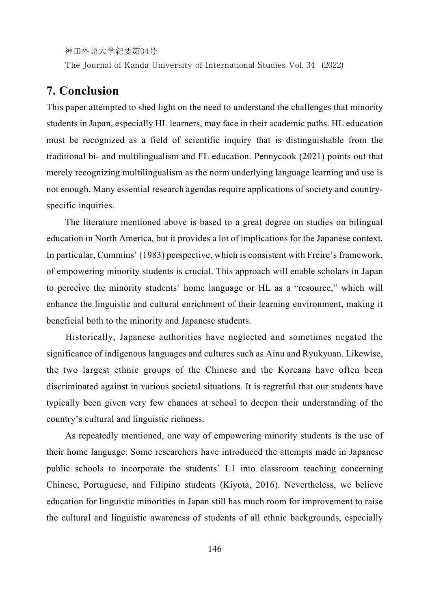The Journal of Kanda University of International Studies Vol. 34 (2022)

# **7. Conclusion**

This paper attempted to shed light on the need to understand the challenges that minority students in Japan, especially HL learners, may face in their academic paths. HL education must be recognized as a field of scientific inquiry that is distinguishable from the traditional bi- and multilingualism and FL education. Pennycook (2021) points out that merely recognizing multilingualism as the norm underlying language learning and use is not enough. Many essential research agendas require applications of society and countryspecific inquiries.

The literature mentioned above is based to a great degree on studies on bilingual education in North America, but it provides a lot of implications for the Japanese context. In particular, Cummins' (1983) perspective, which is consistent with Freire's framework, of empowering minority students is crucial. This approach will enable scholars in Japan to perceive the minority students' home language or HL as a "resource," which will enhance the linguistic and cultural enrichment of their learning environment, making it beneficial both to the minority and Japanese students.

Historically, Japanese authorities have neglected and sometimes negated the significance of indigenous languages and cultures such as Ainu and Ryukyuan. Likewise, the two largest ethnic groups of the Chinese and the Koreans have often been discriminated against in various societal situations. It is regretful that our students have typically been given very few chances at school to deepen their understanding of the country's cultural and linguistic richness.

As repeatedly mentioned, one way of empowering minority students is the use of their home language. Some researchers have introduced the attempts made in Japanese public schools to incorporate the students' L1 into classroom teaching concerning Chinese, Portuguese, and Filipino students (Kiyota, 2016). Nevertheless, we believe education for linguistic minorities in Japan still has much room for improvement to raise the cultural and linguistic awareness of students of all ethnic backgrounds, especially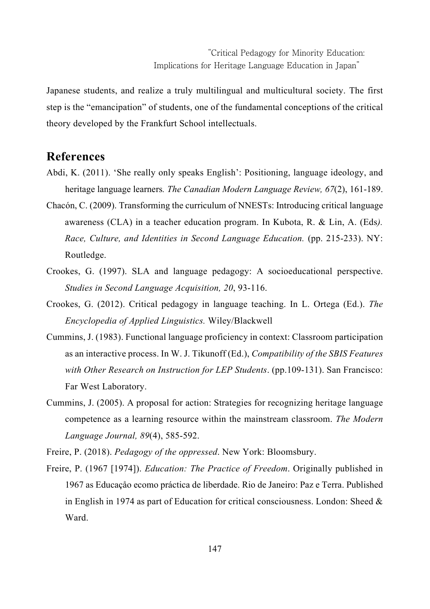Japanese students, and realize a truly multilingual and multicultural society. The first step is the "emancipation" of students, one of the fundamental conceptions of the critical theory developed by the Frankfurt School intellectuals.

# **References**

- Abdi, K. (2011). 'She really only speaks English': Positioning, language ideology, and heritage language learners*. The Canadian Modern Language Review, 67*(2), 161-189.
- Chacón, C. (2009). Transforming the curriculum of NNESTs: Introducing critical language awareness (CLA) in a teacher education program. In Kubota, R. & Lin, A. (Eds*). Race, Culture, and Identities in Second Language Education.* (pp. 215-233). NY: Routledge.
- Crookes, G. (1997). SLA and language pedagogy: A socioeducational perspective. *Studies in Second Language Acquisition, 20*, 93-116.
- Crookes, G. (2012). Critical pedagogy in language teaching. In L. Ortega (Ed.). *The Encyclopedia of Applied Linguistics.* Wiley/Blackwell
- Cummins, J. (1983). Functional language proficiency in context: Classroom participation as an interactive process. In W. J. Tikunoff (Ed.), *Compatibility of the SBIS Features with Other Research on Instruction for LEP Students*. (pp.109-131). San Francisco: Far West Laboratory.
- Cummins, J. (2005). A proposal for action: Strategies for recognizing heritage language competence as a learning resource within the mainstream classroom. *The Modern Language Journal, 89*(4), 585-592.

Freire, P. (2018). *Pedagogy of the oppressed*. New York: Bloomsbury.

Freire, P. (1967 [1974]). *Education: The Practice of Freedom*. Originally published in 1967 as Educaçåo ecomo práctica de liberdade. Rio de Janeiro: Paz e Terra. Published in English in 1974 as part of Education for critical consciousness. London: Sheed  $\&$ Ward.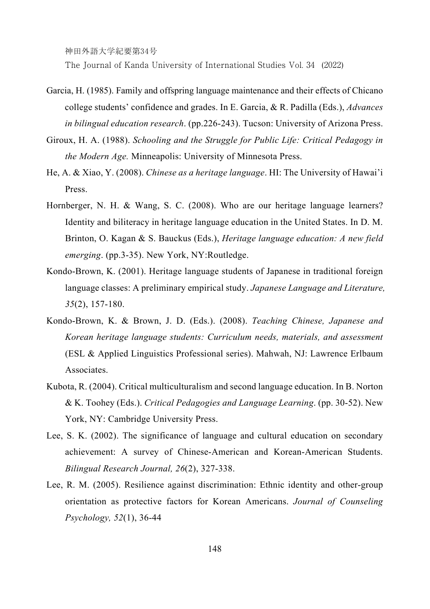The Journal of Kanda University of International Studies Vol. 34 (2022)

- Garcia, H. (1985). Family and offspring language maintenance and their effects of Chicano college students' confidence and grades. In E. Garcia, & R. Padilla (Eds.), *Advances in bilingual education research*. (pp.226-243). Tucson: University of Arizona Press.
- Giroux, H. A. (1988). *Schooling and the Struggle for Public Life: Critical Pedagogy in the Modern Age.* Minneapolis: University of Minnesota Press.
- He, A. & Xiao, Y. (2008). *Chinese as a heritage language*. HI: The University of Hawai'i Press.
- Hornberger, N. H. & Wang, S. C. (2008). Who are our heritage language learners? Identity and biliteracy in heritage language education in the United States. In D. M. Brinton, O. Kagan & S. Bauckus (Eds.), *Heritage language education: A new field emerging*. (pp.3-35). New York, NY:Routledge.
- Kondo-Brown, K. (2001). Heritage language students of Japanese in traditional foreign language classes: A preliminary empirical study. *Japanese Language and Literature, 35*(2), 157-180.
- Kondo-Brown, K. & Brown, J. D. (Eds.). (2008). *Teaching Chinese, Japanese and Korean heritage language students: Curriculum needs, materials, and assessment*  (ESL & Applied Linguistics Professional series). Mahwah, NJ: Lawrence Erlbaum **Associates**
- Kubota, R. (2004). Critical multiculturalism and second language education. In B. Norton & K. Toohey (Eds.). *Critical Pedagogies and Language Learning*. (pp. 30-52). New York, NY: Cambridge University Press.
- Lee, S. K. (2002). The significance of language and cultural education on secondary achievement: A survey of Chinese-American and Korean-American Students. *Bilingual Research Journal, 26*(2), 327-338.
- Lee, R. M. (2005). Resilience against discrimination: Ethnic identity and other-group orientation as protective factors for Korean Americans. *Journal of Counseling Psychology, 52*(1), 36-44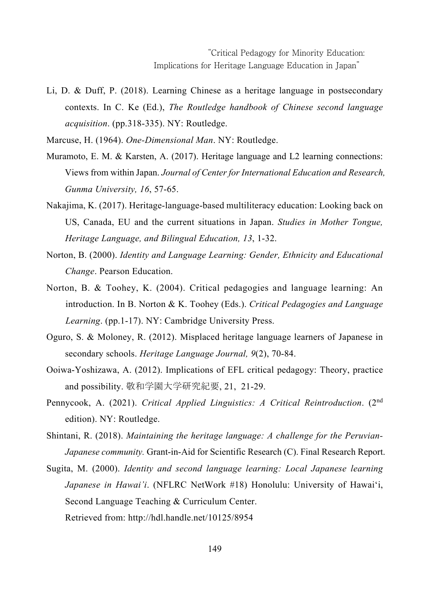Li, D. & Duff, P. (2018). Learning Chinese as a heritage language in postsecondary contexts. In C. Ke (Ed.), *The Routledge handbook of Chinese second language acquisition*. (pp.318-335). NY: Routledge.

Marcuse, H. (1964). *One-Dimensional Man*. NY: Routledge.

- Muramoto, E. M. & Karsten, A. (2017). Heritage language and L2 learning connections: Views from within Japan. *Journal of Center for International Education and Research, Gunma University, 16*, 57-65.
- Nakajima, K. (2017). Heritage-language-based multiliteracy education: Looking back on US, Canada, EU and the current situations in Japan. *Studies in Mother Tongue, Heritage Language, and Bilingual Education, 13*, 1-32.
- Norton, B. (2000). *Identity and Language Learning: Gender, Ethnicity and Educational Change*. Pearson Education.
- Norton, B. & Toohey, K. (2004). Critical pedagogies and language learning: An introduction. In B. Norton & K. Toohey (Eds.). *Critical Pedagogies and Language Learning*. (pp.1-17). NY: Cambridge University Press.
- Oguro, S. & Moloney, R. (2012). Misplaced heritage language learners of Japanese in secondary schools. *Heritage Language Journal, 9*(2), 70-84.
- Ooiwa-Yoshizawa, A. (2012). Implications of EFL critical pedagogy: Theory, practice and possibility. 敬和学園大学研究紀要, 21, 21-29.
- Pennycook, A. (2021). *Critical Applied Linguistics: A Critical Reintroduction*. (2nd edition). NY: Routledge.
- Shintani, R. (2018). *Maintaining the heritage language: A challenge for the Peruvian-Japanese community.* Grant-in-Aid for Scientific Research (C). Final Research Report.
- Sugita, M. (2000). *Identity and second language learning: Local Japanese learning Japanese in Hawai'i*. (NFLRC NetWork #18) Honolulu: University of Hawai'i, Second Language Teaching & Curriculum Center. Retrieved from: http://hdl.handle.net/10125/8954